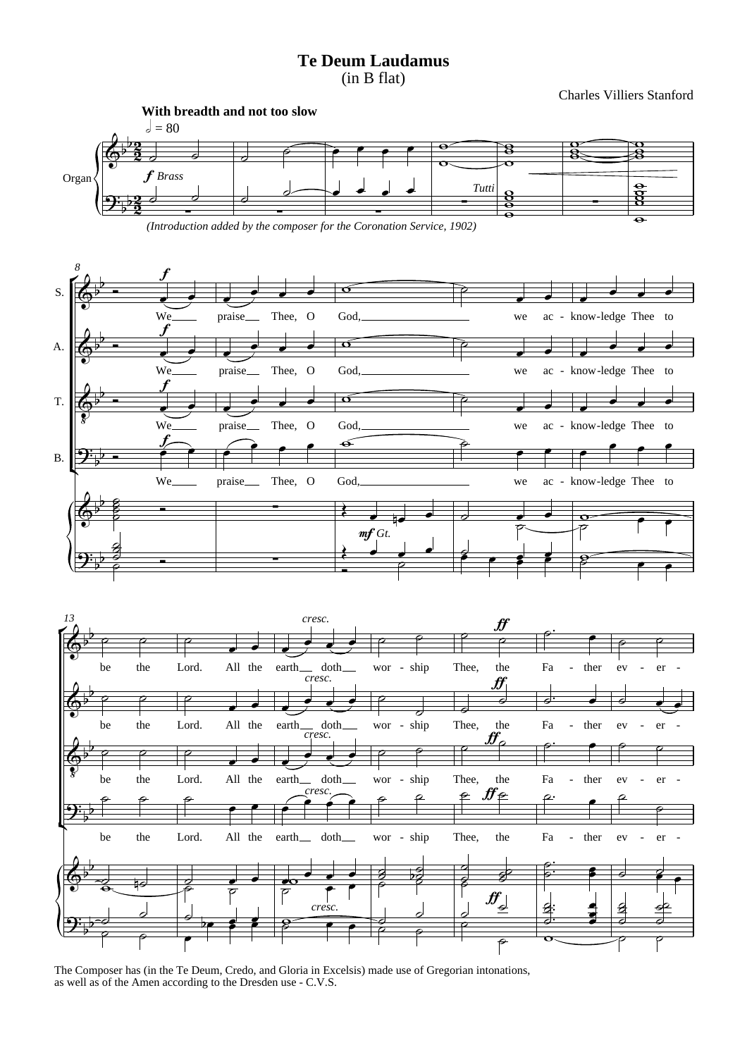## **Te Deum Laudamus** (in B flat)

Charles Villiers Stanford





The Composer has (in the Te Deum, Credo, and Gloria in Excelsis) made use of Gregorian intonations, as well as of the Amen according to the Dresden use - C.V.S.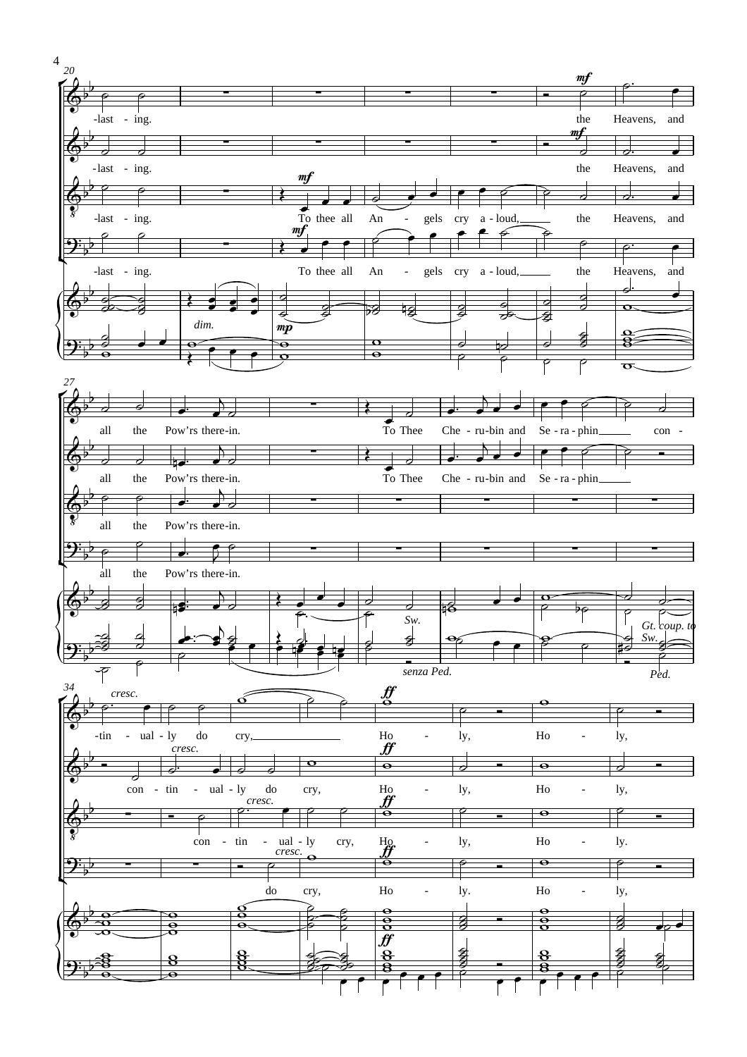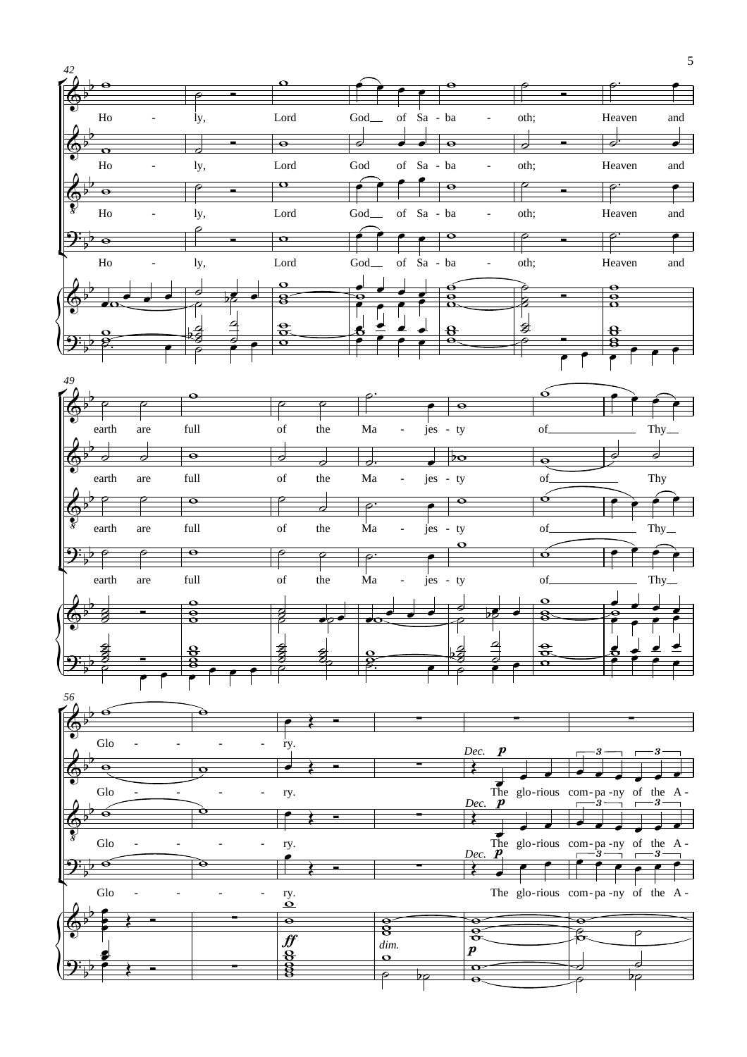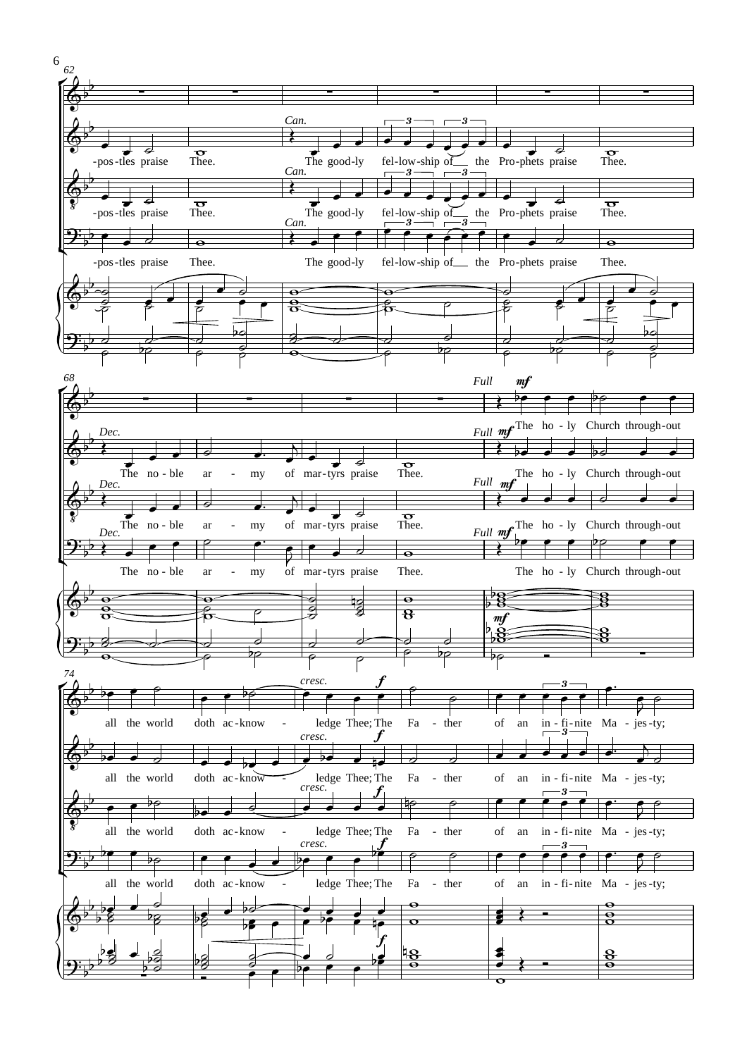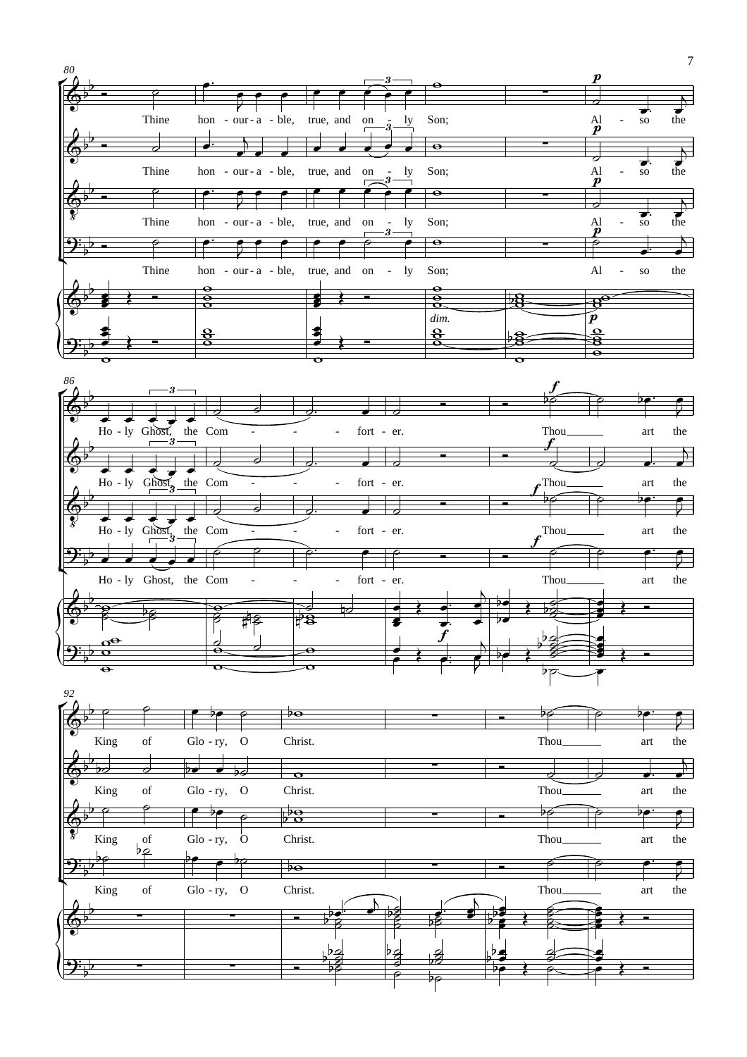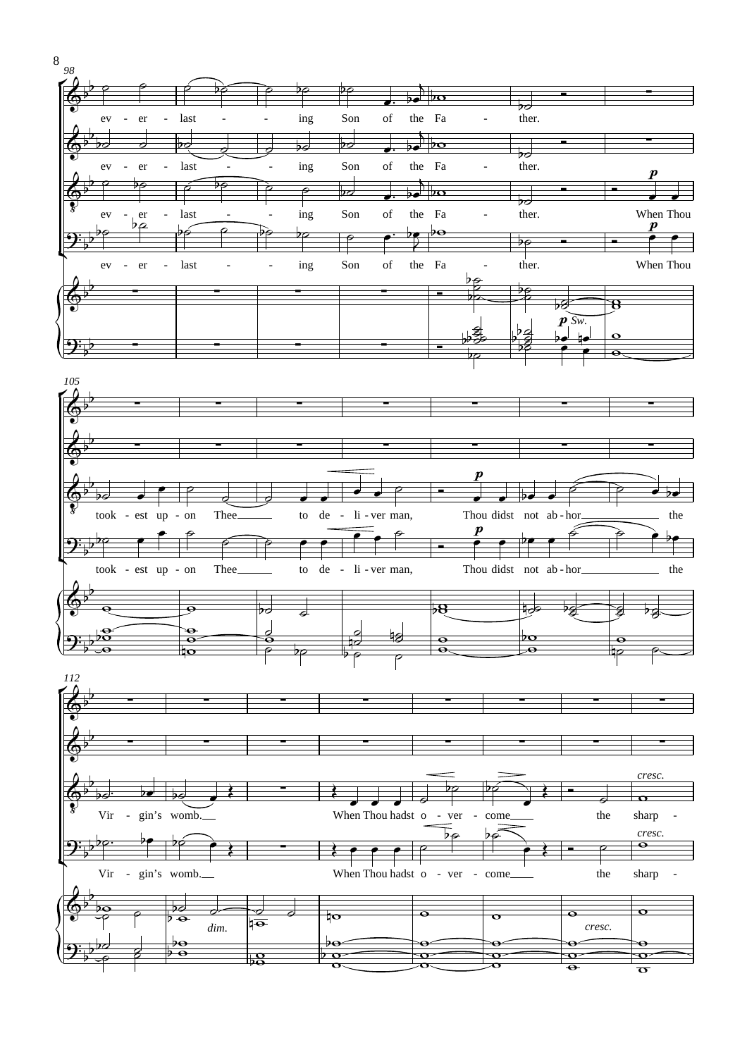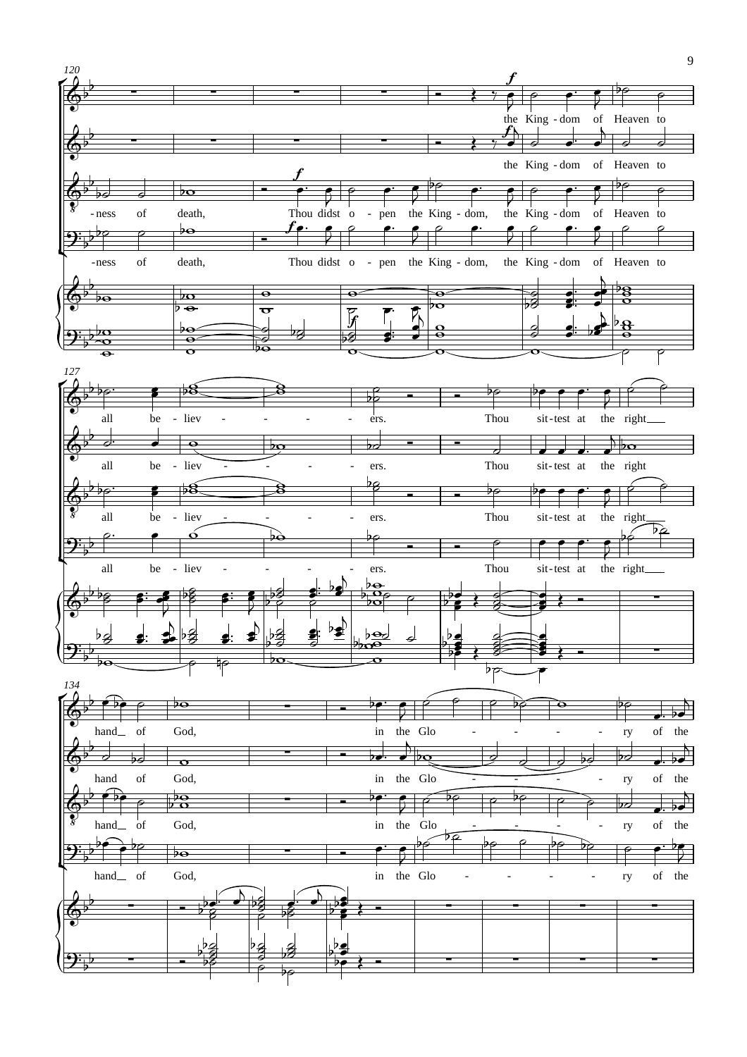

9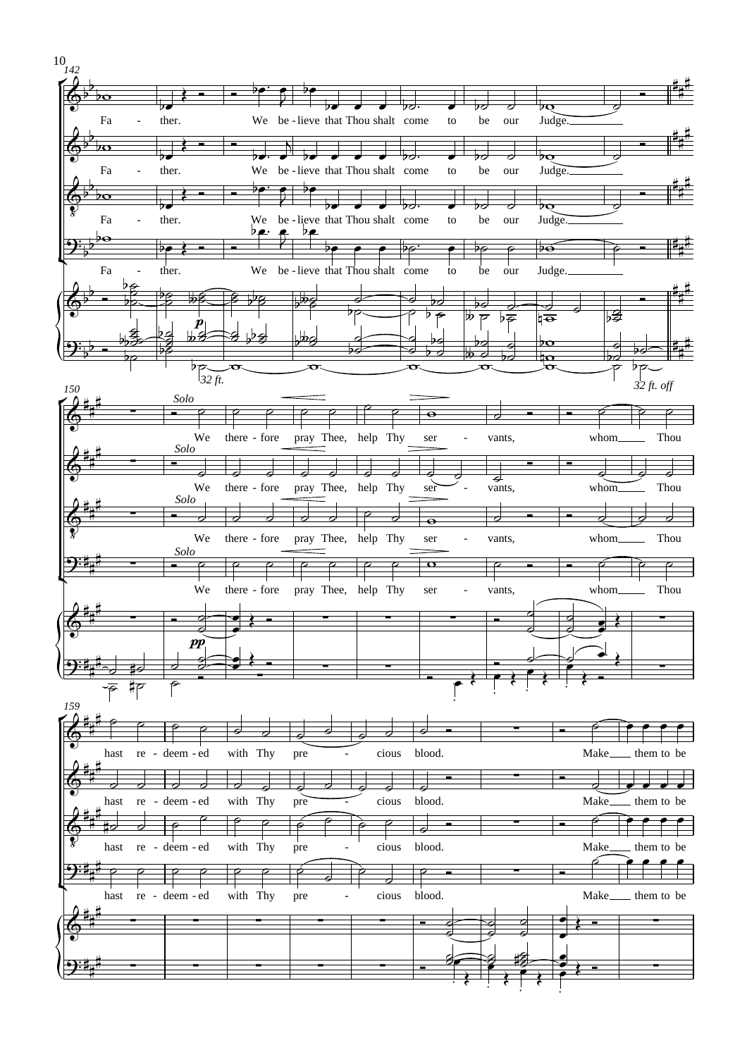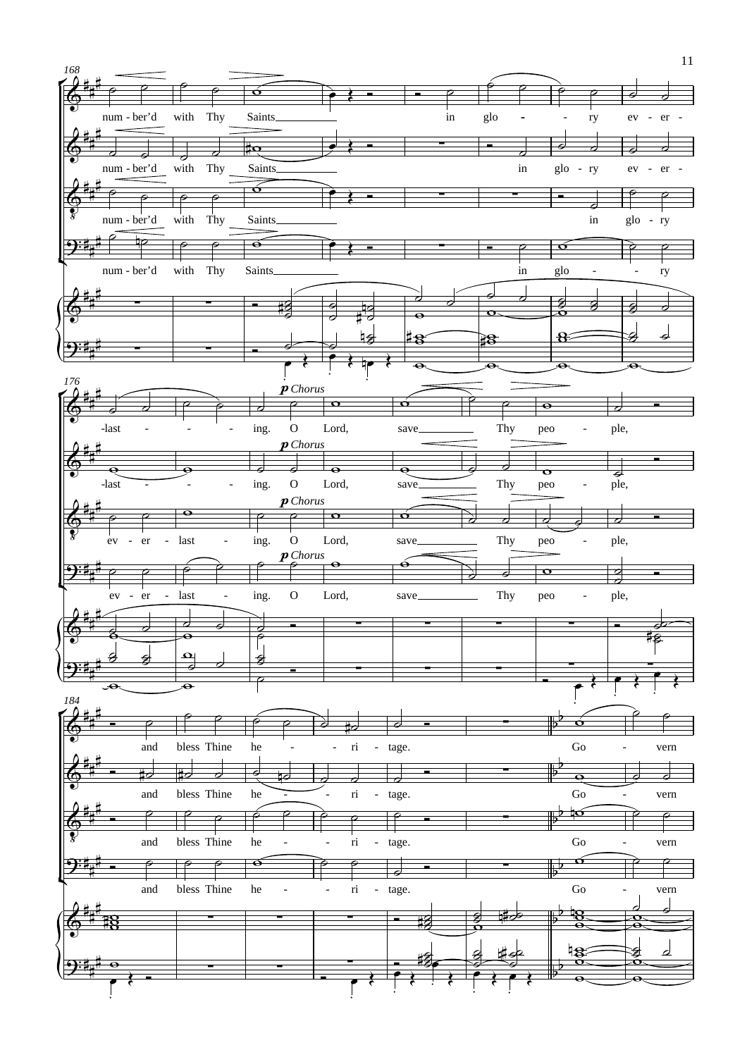

11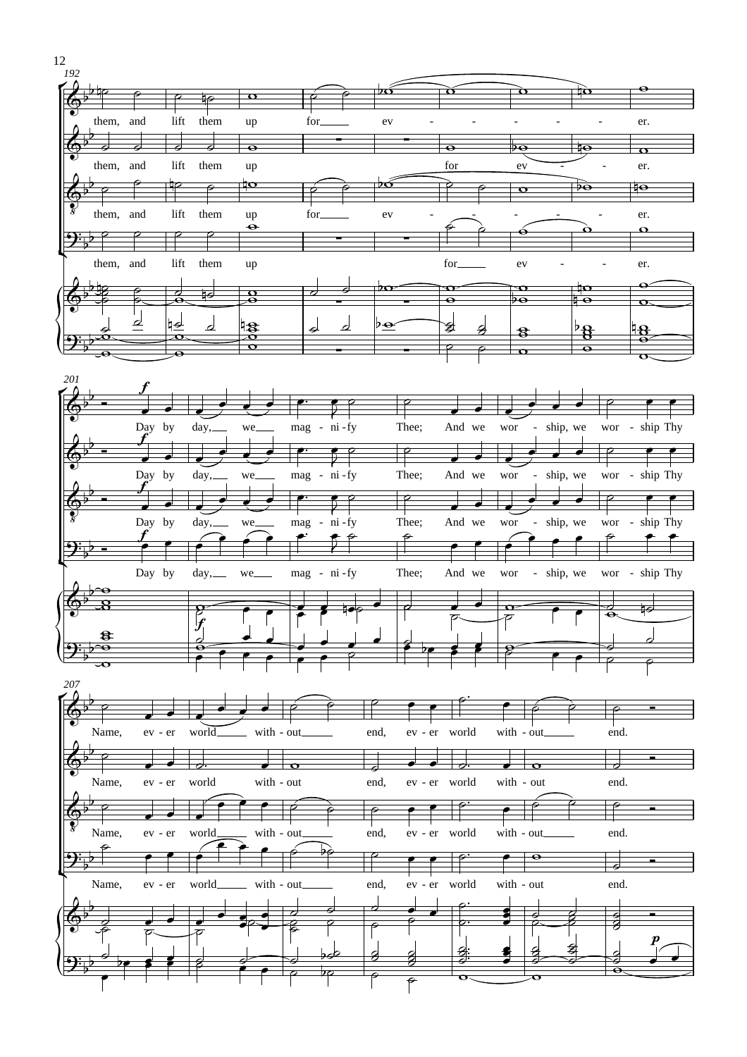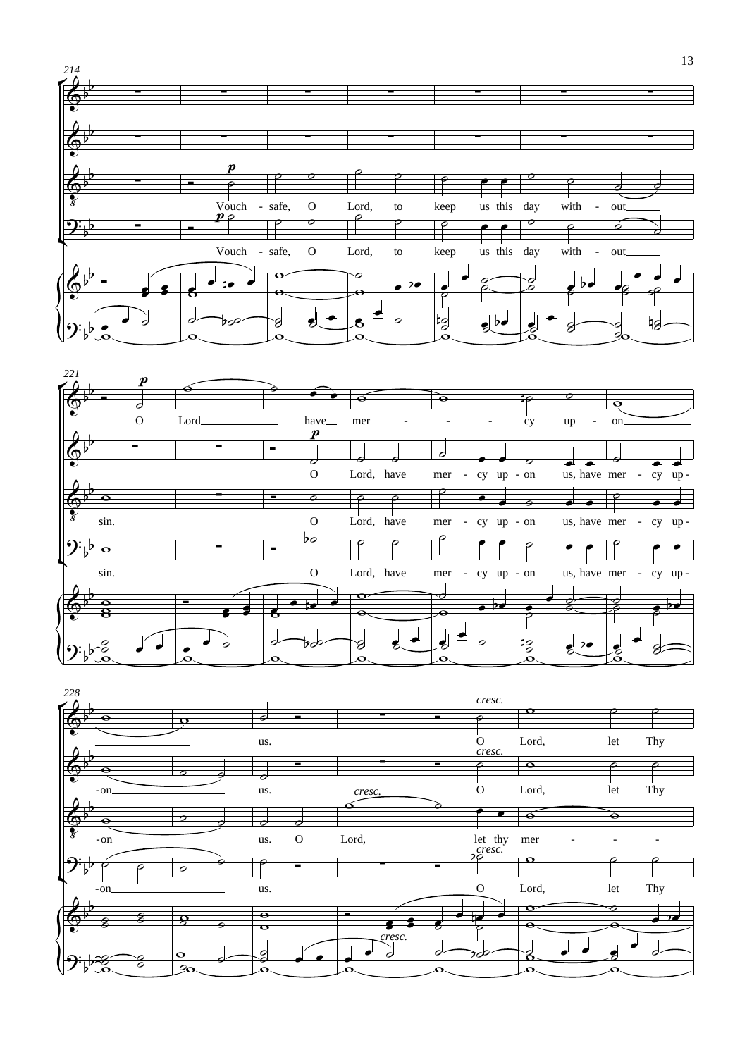





13